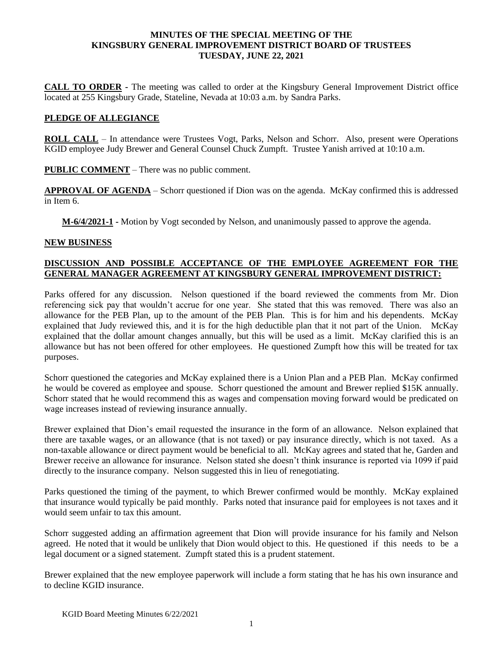#### **MINUTES OF THE SPECIAL MEETING OF THE KINGSBURY GENERAL IMPROVEMENT DISTRICT BOARD OF TRUSTEES TUESDAY, JUNE 22, 2021**

**CALL TO ORDER -** The meeting was called to order at the Kingsbury General Improvement District office located at 255 Kingsbury Grade, Stateline, Nevada at 10:03 a.m. by Sandra Parks.

### **PLEDGE OF ALLEGIANCE**

**ROLL CALL** – In attendance were Trustees Vogt, Parks, Nelson and Schorr. Also, present were Operations KGID employee Judy Brewer and General Counsel Chuck Zumpft. Trustee Yanish arrived at 10:10 a.m.

**PUBLIC COMMENT** – There was no public comment.

**APPROVAL OF AGENDA** – Schorr questioned if Dion was on the agenda. McKay confirmed this is addressed in Item 6.

**M-6/4/2021-1 -** Motion by Vogt seconded by Nelson, and unanimously passed to approve the agenda.

#### **NEW BUSINESS**

# **DISCUSSION AND POSSIBLE ACCEPTANCE OF THE EMPLOYEE AGREEMENT FOR THE GENERAL MANAGER AGREEMENT AT KINGSBURY GENERAL IMPROVEMENT DISTRICT:**

Parks offered for any discussion. Nelson questioned if the board reviewed the comments from Mr. Dion referencing sick pay that wouldn't accrue for one year. She stated that this was removed. There was also an allowance for the PEB Plan, up to the amount of the PEB Plan. This is for him and his dependents. McKay explained that Judy reviewed this, and it is for the high deductible plan that it not part of the Union. McKay explained that the dollar amount changes annually, but this will be used as a limit. McKay clarified this is an allowance but has not been offered for other employees. He questioned Zumpft how this will be treated for tax purposes.

Schorr questioned the categories and McKay explained there is a Union Plan and a PEB Plan. McKay confirmed he would be covered as employee and spouse. Schorr questioned the amount and Brewer replied \$15K annually. Schorr stated that he would recommend this as wages and compensation moving forward would be predicated on wage increases instead of reviewing insurance annually.

Brewer explained that Dion's email requested the insurance in the form of an allowance. Nelson explained that there are taxable wages, or an allowance (that is not taxed) or pay insurance directly, which is not taxed. As a non-taxable allowance or direct payment would be beneficial to all. McKay agrees and stated that he, Garden and Brewer receive an allowance for insurance. Nelson stated she doesn't think insurance is reported via 1099 if paid directly to the insurance company. Nelson suggested this in lieu of renegotiating.

Parks questioned the timing of the payment, to which Brewer confirmed would be monthly. McKay explained that insurance would typically be paid monthly. Parks noted that insurance paid for employees is not taxes and it would seem unfair to tax this amount.

Schorr suggested adding an affirmation agreement that Dion will provide insurance for his family and Nelson agreed. He noted that it would be unlikely that Dion would object to this. He questioned if this needs to be a legal document or a signed statement. Zumpft stated this is a prudent statement.

Brewer explained that the new employee paperwork will include a form stating that he has his own insurance and to decline KGID insurance.

KGID Board Meeting Minutes 6/22/2021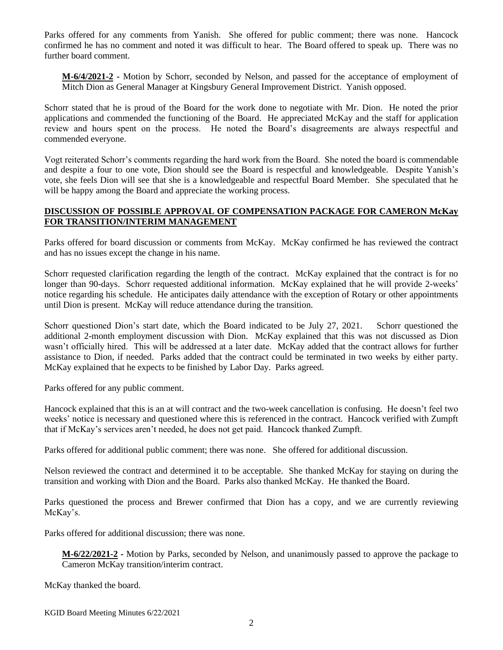Parks offered for any comments from Yanish. She offered for public comment; there was none. Hancock confirmed he has no comment and noted it was difficult to hear. The Board offered to speak up. There was no further board comment.

**M-6/4/2021-2 -** Motion by Schorr, seconded by Nelson, and passed for the acceptance of employment of Mitch Dion as General Manager at Kingsbury General Improvement District. Yanish opposed.

Schorr stated that he is proud of the Board for the work done to negotiate with Mr. Dion. He noted the prior applications and commended the functioning of the Board. He appreciated McKay and the staff for application review and hours spent on the process. He noted the Board's disagreements are always respectful and commended everyone.

Vogt reiterated Schorr's comments regarding the hard work from the Board. She noted the board is commendable and despite a four to one vote, Dion should see the Board is respectful and knowledgeable. Despite Yanish's vote, she feels Dion will see that she is a knowledgeable and respectful Board Member. She speculated that he will be happy among the Board and appreciate the working process.

## **DISCUSSION OF POSSIBLE APPROVAL OF COMPENSATION PACKAGE FOR CAMERON McKay FOR TRANSITION/INTERIM MANAGEMENT**

Parks offered for board discussion or comments from McKay. McKay confirmed he has reviewed the contract and has no issues except the change in his name.

Schorr requested clarification regarding the length of the contract. McKay explained that the contract is for no longer than 90-days. Schorr requested additional information. McKay explained that he will provide 2-weeks' notice regarding his schedule. He anticipates daily attendance with the exception of Rotary or other appointments until Dion is present. McKay will reduce attendance during the transition.

Schorr questioned Dion's start date, which the Board indicated to be July 27, 2021. Schorr questioned the additional 2-month employment discussion with Dion. McKay explained that this was not discussed as Dion wasn't officially hired. This will be addressed at a later date. McKay added that the contract allows for further assistance to Dion, if needed. Parks added that the contract could be terminated in two weeks by either party. McKay explained that he expects to be finished by Labor Day. Parks agreed.

Parks offered for any public comment.

Hancock explained that this is an at will contract and the two-week cancellation is confusing. He doesn't feel two weeks' notice is necessary and questioned where this is referenced in the contract. Hancock verified with Zumpft that if McKay's services aren't needed, he does not get paid. Hancock thanked Zumpft.

Parks offered for additional public comment; there was none. She offered for additional discussion.

Nelson reviewed the contract and determined it to be acceptable. She thanked McKay for staying on during the transition and working with Dion and the Board. Parks also thanked McKay. He thanked the Board.

Parks questioned the process and Brewer confirmed that Dion has a copy, and we are currently reviewing McKay's.

Parks offered for additional discussion; there was none.

**M-6/22/2021-2 -** Motion by Parks, seconded by Nelson, and unanimously passed to approve the package to Cameron McKay transition/interim contract.

McKay thanked the board.

KGID Board Meeting Minutes 6/22/2021